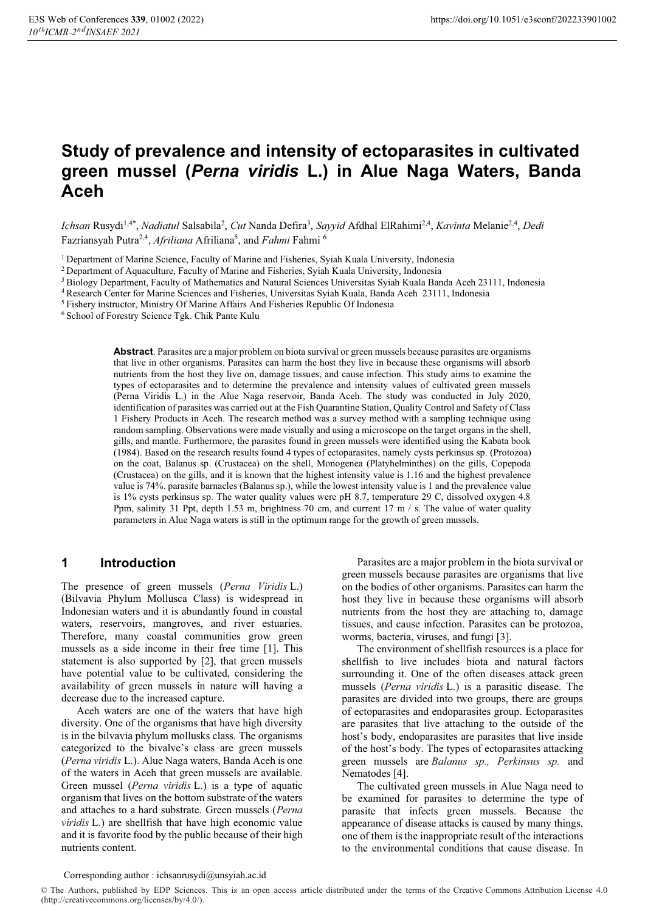# **Study of prevalence and intensity of ectoparasites in cultivated green mussel (***Perna viridis* **L.) in Alue Naga Waters, Banda Aceh**

Ichsan Rusydi<sup>1,4\*</sup>, *Nadiatul Salsabila<sup>2</sup>, Cut Nanda Defira<sup>3</sup>, <i>Sayyid Afdhal ElRahimi<sup>2,4</sup>, Kavinta Melanie<sup>2,4</sup>, <i>Dedi* Fazriansyah Putra<sup>2,4</sup>, *Afriliana* Afriliana<sup>5</sup>, and Fahmi Fahmi<sup>6</sup>

1 Department of Marine Science, Faculty of Marine and Fisheries, Syiah Kuala University, Indonesia

2 Department of Aquaculture, Faculty of Marine and Fisheries, Syiah Kuala University, Indonesia

3 Biology Department, Faculty of Mathematics and Natural Sciences Universitas Syiah Kuala Banda Aceh 23111, Indonesia

4 Research Center for Marine Sciences and Fisheries, Universitas Syiah Kuala, Banda Aceh 23111, Indonesia

5 Fishery instructor, Ministry Of Marine Affairs And Fisheries Republic Of Indonesia

6 School of Forestry Science Tgk. Chik Pante Kulu

**Abstract**. Parasites are a major problem on biota survival or green mussels because parasites are organisms that live in other organisms. Parasites can harm the host they live in because these organisms will absorb nutrients from the host they live on, damage tissues, and cause infection. This study aims to examine the types of ectoparasites and to determine the prevalence and intensity values of cultivated green mussels (Perna Viridis L.) in the Alue Naga reservoir, Banda Aceh. The study was conducted in July 2020, identification of parasites was carried out at the Fish Quarantine Station, Quality Control and Safety of Class 1 Fishery Products in Aceh. The research method was a survey method with a sampling technique using random sampling. Observations were made visually and using a microscope on the target organs in the shell, gills, and mantle. Furthermore, the parasites found in green mussels were identified using the Kabata book (1984). Based on the research results found 4 types of ectoparasites, namely cysts perkinsus sp. (Protozoa) on the coat, Balanus sp. (Crustacea) on the shell, Monogenea (Platyhelminthes) on the gills, Copepoda (Crustacea) on the gills, and it is known that the highest intensity value is 1.16 and the highest prevalence value is 74%. parasite barnacles (Balanus sp.), while the lowest intensity value is 1 and the prevalence value is 1% cysts perkinsus sp. The water quality values were pH 8.7, temperature 29 C, dissolved oxygen 4.8 Ppm, salinity 31 Ppt, depth 1.53 m, brightness 70 cm, and current 17 m / s. The value of water quality parameters in Alue Naga waters is still in the optimum range for the growth of green mussels.

# **1 Introduction**

The presence of green mussels (*Perna Viridis* L.) (Bilvavia Phylum Mollusca Class) is widespread in Indonesian waters and it is abundantly found in coastal waters, reservoirs, mangroves, and river estuaries. Therefore, many coastal communities grow green mussels as a side income in their free time [1]. This statement is also supported by [2], that green mussels have potential value to be cultivated, considering the availability of green mussels in nature will having a decrease due to the increased capture.

Aceh waters are one of the waters that have high diversity. One of the organisms that have high diversity is in the bilvavia phylum mollusks class. The organisms categorized to the bivalve's class are green mussels (*Perna viridis* L.). Alue Naga waters, Banda Aceh is one of the waters in Aceh that green mussels are available. Green mussel (*Perna viridis* L.) is a type of aquatic organism that lives on the bottom substrate of the waters and attaches to a hard substrate. Green mussels (*Perna viridis* L.) are shellfish that have high economic value and it is favorite food by the public because of their high nutrients content.

Parasites are a major problem in the biota survival or green mussels because parasites are organisms that live on the bodies of other organisms. Parasites can harm the host they live in because these organisms will absorb nutrients from the host they are attaching to, damage tissues, and cause infection. Parasites can be protozoa, worms, bacteria, viruses, and fungi [3].

The environment of shellfish resources is a place for shellfish to live includes biota and natural factors surrounding it. One of the often diseases attack green mussels (*Perna viridis* L.) is a parasitic disease. The parasites are divided into two groups, there are groups of ectoparasites and endoparasites group. Ectoparasites are parasites that live attaching to the outside of the host's body, endoparasites are parasites that live inside of the host's body. The types of ectoparasites attacking green mussels are *Balanus sp., Perkinsus sp.* and Nematodes [4].

The cultivated green mussels in Alue Naga need to be examined for parasites to determine the type of parasite that infects green mussels. Because the appearance of disease attacks is caused by many things, one of them is the inappropriate result of the interactions to the environmental conditions that cause disease. In

#### Corresponding author : ichsanrusydi@unsyiah.ac.id

© The Authors, published by EDP Sciences. This is an open access article distributed under the terms of the Creative Commons Attribution License 4.0 (http://creativecommons.org/licenses/by/4.0/).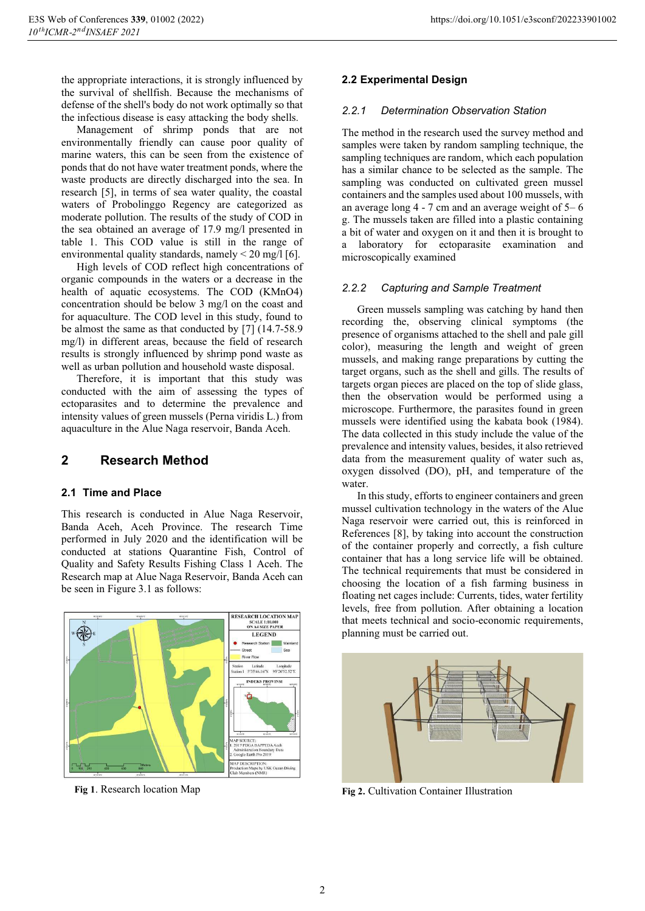the appropriate interactions, it is strongly influenced by the survival of shellfish. Because the mechanisms of defense of the shell's body do not work optimally so that the infectious disease is easy attacking the body shells.

Management of shrimp ponds that are not environmentally friendly can cause poor quality of marine waters, this can be seen from the existence of ponds that do not have water treatment ponds, where the waste products are directly discharged into the sea. In research [5], in terms of sea water quality, the coastal waters of Probolinggo Regency are categorized as moderate pollution. The results of the study of COD in the sea obtained an average of 17.9 mg/l presented in table 1. This COD value is still in the range of environmental quality standards, namely  $\leq$  20 mg/l [6].

High levels of COD reflect high concentrations of organic compounds in the waters or a decrease in the health of aquatic ecosystems. The COD (KMnO4) concentration should be below 3 mg/l on the coast and for aquaculture. The COD level in this study, found to be almost the same as that conducted by [7] (14.7-58.9 mg/l) in different areas, because the field of research results is strongly influenced by shrimp pond waste as well as urban pollution and household waste disposal.

Therefore, it is important that this study was conducted with the aim of assessing the types of ectoparasites and to determine the prevalence and intensity values of green mussels (Perna viridis L.) from aquaculture in the Alue Naga reservoir, Banda Aceh.

# **2 Research Method**

## **2.1 Time and Place**

This research is conducted in Alue Naga Reservoir, Banda Aceh, Aceh Province. The research Time performed in July 2020 and the identification will be conducted at stations Quarantine Fish, Control of Quality and Safety Results Fishing Class 1 Aceh. The Research map at Alue Naga Reservoir, Banda Aceh can be seen in Figure 3.1 as follows:



**Fig 1**. Research location Map

## **2.2 Experimental Design**

#### *2.2.1 Determination Observation Station*

The method in the research used the survey method and samples were taken by random sampling technique, the sampling techniques are random, which each population has a similar chance to be selected as the sample. The sampling was conducted on cultivated green mussel containers and the samples used about 100 mussels, with an average long 4 - 7 cm and an average weight of 5– 6 g. The mussels taken are filled into a plastic containing a bit of water and oxygen on it and then it is brought to a laboratory for ectoparasite examination and microscopically examined

## *2.2.2 Capturing and Sample Treatment*

Green mussels sampling was catching by hand then recording the, observing clinical symptoms (the presence of organisms attached to the shell and pale gill color), measuring the length and weight of green mussels, and making range preparations by cutting the target organs, such as the shell and gills. The results of targets organ pieces are placed on the top of slide glass, then the observation would be performed using a microscope. Furthermore, the parasites found in green mussels were identified using the kabata book (1984). The data collected in this study include the value of the prevalence and intensity values, besides, it also retrieved data from the measurement quality of water such as, oxygen dissolved (DO), pH, and temperature of the water.

In this study, efforts to engineer containers and green mussel cultivation technology in the waters of the Alue Naga reservoir were carried out, this is reinforced in References [8], by taking into account the construction of the container properly and correctly, a fish culture container that has a long service life will be obtained. The technical requirements that must be considered in choosing the location of a fish farming business in floating net cages include: Currents, tides, water fertility levels, free from pollution. After obtaining a location that meets technical and socio-economic requirements, planning must be carried out.



**Fig 2.** Cultivation Container Illustration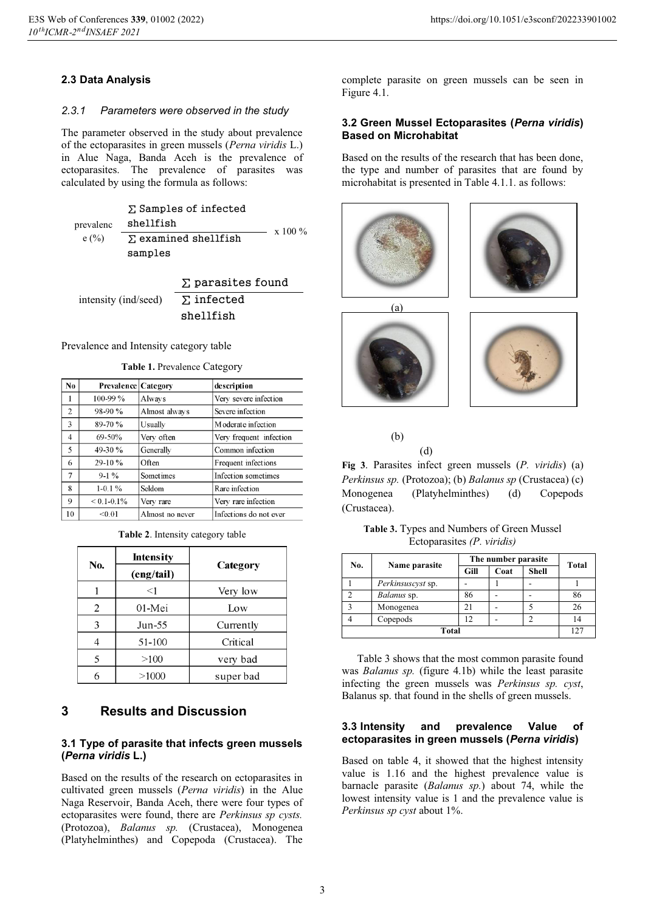## **2.3 Data Analysis**

#### *2.3.1 Parameters were observed in the study*

The parameter observed in the study about prevalence of the ectoparasites in green mussels (*Perna viridis* L.) in Alue Naga, Banda Aceh is the prevalence of ectoparasites. The prevalence of parasites was calculated by using the formula as follows:

 $\Sigma$  Samples of infected

prevalenc shellfish

 $e (%)$  $\frac{100\%}{\text{N}}$  examined shellfish samples

intensity (ind/seed) Σ parasites found  $\Sigma$  infected shellfish

#### Prevalence and Intensity category table

| Table 1. Prevalence Category |  |
|------------------------------|--|
|------------------------------|--|

| N <sub>0</sub> | <b>Prevalence   Category</b> |                  | description             |
|----------------|------------------------------|------------------|-------------------------|
|                | $100 - 99 \%$                | Always           | Very severe infection   |
| $\overline{2}$ | $98-90%$                     | Almost always    | Severe infection        |
| 3              | $89-70%$                     | Usually          | Moderate infection      |
| 4              | $69-50%$                     | Very often       | Very frequent infection |
| 5              | 49-30 $%$                    | Generally        | Common infection        |
| 6              | $29-10%$                     | Often            | Frequent infections     |
| 7              | $9-1\%$                      | <b>Sometimes</b> | Infection sometimes     |
| 8              | $1-0.1\%$                    | Seldom           | Rare infection          |
| 9              | $< 0.1 - 0.1\%$              | Very rare        | Very rare infection     |
| 10             | < 0.01                       | Almost no never  | Infections do not ever  |

**Table 2**. Intensity category table

|     | <b>Intensity</b> |           |
|-----|------------------|-----------|
| No. | (eng/tail)       | Category  |
|     | $<$ 1            | Very low  |
| 2   | 01-Mei           | Low       |
| 3   | Jun-55           | Currently |
|     | 51-100           | Critical  |
|     | >100             | very bad  |
|     | >1000            | super bad |

# **3 Results and Discussion**

## **3.1 Type of parasite that infects green mussels (***Perna viridis* **L.)**

Based on the results of the research on ectoparasites in cultivated green mussels (*Perna viridis*) in the Alue Naga Reservoir, Banda Aceh, there were four types of ectoparasites were found, there are *Perkinsus sp cysts.* (Protozoa), *Balanus sp.* (Crustacea), Monogenea (Platyhelminthes) and Copepoda (Crustacea). The

complete parasite on green mussels can be seen in Figure 4.1.

## **3.2 Green Mussel Ectoparasites (***Perna viridis***) Based on Microhabitat**

Based on the results of the research that has been done, the type and number of parasites that are found by microhabitat is presented in Table 4.1.1. as follows:







(b)



(d)

**Fig 3**. Parasites infect green mussels (*P. viridis*) (a) *Perkinsus sp.* (Protozoa); (b) *Balanus sp* (Crustacea) (c) Monogenea (Platyhelminthes) (d) Copepods (Crustacea).

**Table 3.** Types and Numbers of Green Mussel Ectoparasites *(P. viridis)*

| No.                     | Name parasite     | The number parasite |      |              | Total |
|-------------------------|-------------------|---------------------|------|--------------|-------|
|                         |                   | Gill                | Coat | <b>Shell</b> |       |
|                         | Perkinsuscyst sp. |                     |      |              |       |
| ◠                       | Balanus sp.       | 86                  |      |              | 86    |
| $\overline{\mathbf{c}}$ | Monogenea         | 21                  |      |              |       |
|                         | Copepods          | 12                  |      | ↑            |       |
| Total                   |                   |                     |      |              | 127   |

Table 3 shows that the most common parasite found was *Balanus sp.* (figure 4.1b) while the least parasite infecting the green mussels was *Perkinsus sp. cyst*, Balanus sp. that found in the shells of green mussels.

#### **3.3 Intensity and prevalence Value of ectoparasites in green mussels (***Perna viridis***)**

Based on table 4, it showed that the highest intensity value is 1.16 and the highest prevalence value is barnacle parasite (*Balanus sp.*) about 74, while the lowest intensity value is 1 and the prevalence value is *Perkinsus sp cyst* about 1%.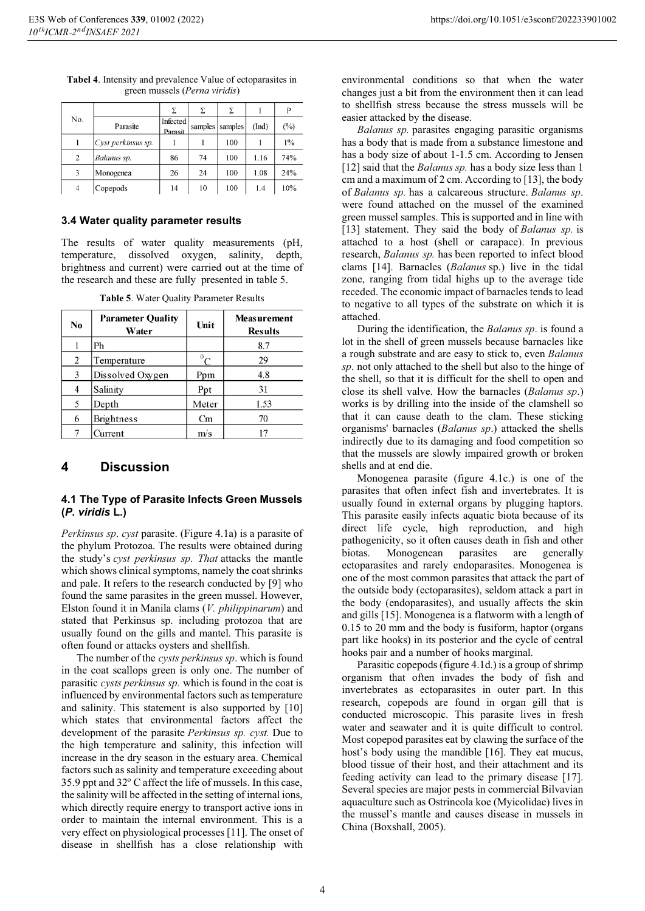| No.            |                      | Σ                   | Σ       | Σ       |       | P     |
|----------------|----------------------|---------------------|---------|---------|-------|-------|
|                | Parasite             | Infected<br>Parasit | samples | samples | (Ind) | (%)   |
|                | $Cyst$ perkinsus sp. |                     |         | 100     |       | $1\%$ |
| $\overline{2}$ | Balanus sp.          | 86                  | 74      | 100     | 1.16  | 74%   |
| 3              | Monogenea            | 26                  | 24      | 100     | 1.08  | 24%   |
| 4              | Copepods             | 14                  | 10      | 100     | 1.4   | 10%   |

**Tabel 4**. Intensity and prevalence Value of ectoparasites in green mussels (*Perna viridis*)

#### **3.4 Water quality parameter results**

The results of water quality measurements (pH, temperature, dissolved oxygen, salinity, depth, brightness and current) were carried out at the time of the research and these are fully presented in table 5.

| No | <b>Parameter Quality</b><br>Water | Unit      | <b>Measurement</b><br><b>Results</b> |
|----|-----------------------------------|-----------|--------------------------------------|
|    | Ph                                |           | 8.7                                  |
| 2  | Temperature                       | ${}^{0}C$ | 29                                   |
| 3  | Dissolved Oxygen                  | Ppm       | 4.8                                  |
| 4  | Salinity                          | Ppt       | 31                                   |
| 5  | Depth                             | Meter     | 1.53                                 |
| 6  | <b>Brightness</b>                 | Cm        | 70                                   |
|    | Current                           | m/s       |                                      |

**Table 5**. Water Quality Parameter Results

# **4 Discussion**

## **4.1 The Type of Parasite Infects Green Mussels (***P. viridis* **L.)**

*Perkinsus sp*. *cyst* parasite. (Figure 4.1a) is a parasite of the phylum Protozoa. The results were obtained during the study's *cyst perkinsus sp. That* attacks the mantle which shows clinical symptoms, namely the coat shrinks and pale. It refers to the research conducted by [9] who found the same parasites in the green mussel. However, Elston found it in Manila clams (*V. philippinarum*) and stated that Perkinsus sp. including protozoa that are usually found on the gills and mantel. This parasite is often found or attacks oysters and shellfish.

The number of the *cysts perkinsus sp*. which is found in the coat scallops green is only one. The number of parasitic *cysts perkinsus sp.* which is found in the coat is influenced by environmental factors such as temperature and salinity. This statement is also supported by [10] which states that environmental factors affect the development of the parasite *Perkinsus sp. cyst.* Due to the high temperature and salinity, this infection will increase in the dry season in the estuary area. Chemical factors such as salinity and temperature exceeding about 35.9 ppt and 32° C affect the life of mussels. In this case, the salinity will be affected in the setting of internal ions, which directly require energy to transport active ions in order to maintain the internal environment. This is a very effect on physiological processes [11]. The onset of disease in shellfish has a close relationship with

environmental conditions so that when the water changes just a bit from the environment then it can lead to shellfish stress because the stress mussels will be easier attacked by the disease.

*Balanus sp.* parasites engaging parasitic organisms has a body that is made from a substance limestone and has a body size of about 1-1.5 cm. According to Jensen [12] said that the *Balanus sp*. has a body size less than 1 cm and a maximum of 2 cm. According to [13], the body of *Balanus sp.* has a calcareous structure. *Balanus sp*. were found attached on the mussel of the examined green mussel samples. This is supported and in line with [13] statement. They said the body of *Balanus sp.* is attached to a host (shell or carapace). In previous research, *Balanus sp.* has been reported to infect blood clams [14]. Barnacles (*Balanus* sp.) live in the tidal zone, ranging from tidal highs up to the average tide receded. The economic impact of barnacles tends to lead to negative to all types of the substrate on which it is attached.

During the identification, the *Balanus sp*. is found a lot in the shell of green mussels because barnacles like a rough substrate and are easy to stick to, even *Balanus sp*. not only attached to the shell but also to the hinge of the shell, so that it is difficult for the shell to open and close its shell valve. How the barnacles (*Balanus sp*.) works is by drilling into the inside of the clamshell so that it can cause death to the clam. These sticking organisms' barnacles (*Balanus sp*.) attacked the shells indirectly due to its damaging and food competition so that the mussels are slowly impaired growth or broken shells and at end die.

Monogenea parasite (figure 4.1c.) is one of the parasites that often infect fish and invertebrates. It is usually found in external organs by plugging haptors. This parasite easily infects aquatic biota because of its direct life cycle, high reproduction, and high pathogenicity, so it often causes death in fish and other biotas. Monogenean parasites are generally ectoparasites and rarely endoparasites. Monogenea is one of the most common parasites that attack the part of the outside body (ectoparasites), seldom attack a part in the body (endoparasites), and usually affects the skin and gills [15]. Monogenea is a flatworm with a length of 0.15 to 20 mm and the body is fusiform, haptor (organs part like hooks) in its posterior and the cycle of central hooks pair and a number of hooks marginal.

Parasitic copepods (figure 4.1d.) is a group of shrimp organism that often invades the body of fish and invertebrates as ectoparasites in outer part. In this research, copepods are found in organ gill that is conducted microscopic. This parasite lives in fresh water and seawater and it is quite difficult to control. Most copepod parasites eat by clawing the surface of the host's body using the mandible [16]. They eat mucus, blood tissue of their host, and their attachment and its feeding activity can lead to the primary disease [17]. Several species are major pests in commercial Bilvavian aquaculture such as Ostrincola koe (Myicolidae) lives in the mussel's mantle and causes disease in mussels in China (Boxshall, 2005).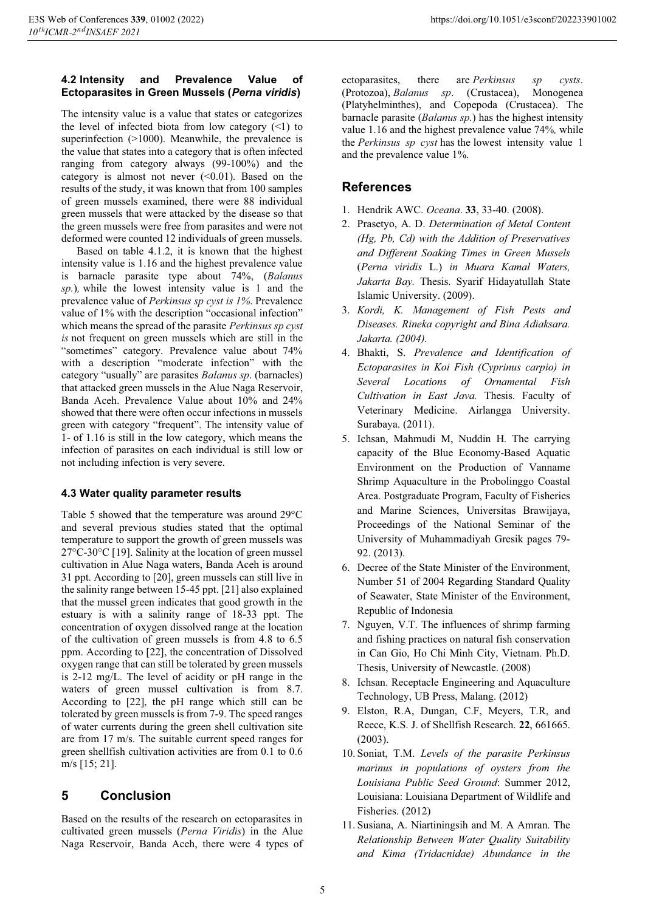## **4.2 Intensity and Prevalence Value of Ectoparasites in Green Mussels (***Perna viridis***)**

The intensity value is a value that states or categorizes the level of infected biota from low category  $(\leq 1)$  to superinfection (>1000). Meanwhile, the prevalence is the value that states into a category that is often infected ranging from category always (99-100%) and the category is almost not never  $( $0.01$ ). Based on the$ results of the study, it was known that from 100 samples of green mussels examined, there were 88 individual green mussels that were attacked by the disease so that the green mussels were free from parasites and were not deformed were counted 12 individuals of green mussels.

Based on table 4.1.2, it is known that the highest intensity value is 1.16 and the highest prevalence value is barnacle parasite type about 74%, (*Balanus sp.*)*,* while the lowest intensity value is 1 and the prevalence value of *Perkinsus sp cyst is 1%*. Prevalence value of 1% with the description "occasional infection" which means the spread of the parasite *Perkinsus sp cyst is* not frequent on green mussels which are still in the "sometimes" category. Prevalence value about 74% with a description "moderate infection" with the category "usually" are parasites *Balanus sp*. (barnacles) that attacked green mussels in the Alue Naga Reservoir, Banda Aceh. Prevalence Value about 10% and 24% showed that there were often occur infections in mussels green with category "frequent". The intensity value of 1- of 1.16 is still in the low category, which means the infection of parasites on each individual is still low or not including infection is very severe.

## **4.3 Water quality parameter results**

Table 5 showed that the temperature was around 29°C and several previous studies stated that the optimal temperature to support the growth of green mussels was 27°C-30°C [19]. Salinity at the location of green mussel cultivation in Alue Naga waters, Banda Aceh is around 31 ppt. According to [20], green mussels can still live in the salinity range between 15-45 ppt. [21] also explained that the mussel green indicates that good growth in the estuary is with a salinity range of 18-33 ppt. The concentration of oxygen dissolved range at the location of the cultivation of green mussels is from 4.8 to 6.5 ppm. According to [22], the concentration of Dissolved oxygen range that can still be tolerated by green mussels is 2-12 mg/L. The level of acidity or pH range in the waters of green mussel cultivation is from 8.7. According to [22], the pH range which still can be tolerated by green mussels is from 7-9. The speed ranges of water currents during the green shell cultivation site are from 17 m/s. The suitable current speed ranges for green shellfish cultivation activities are from 0.1 to 0.6 m/s [15; 21].

# **5 Conclusion**

Based on the results of the research on ectoparasites in cultivated green mussels (*Perna Viridis*) in the Alue Naga Reservoir, Banda Aceh, there were 4 types of ectoparasites, there are *Perkinsus sp cysts*. (Protozoa), *Balanus sp*. (Crustacea), Monogenea (Platyhelminthes), and Copepoda (Crustacea). The barnacle parasite (*Balanus sp.*) has the highest intensity value 1.16 and the highest prevalence value 74%*,* while the *Perkinsus sp cyst* has the lowest intensity value 1 and the prevalence value 1%.

# **References**

- 1. Hendrik AWC. *Oceana*. **33**, 33-40. (2008).
- 2. Prasetyo, A. D. *Determination of Metal Content (Hg, Pb, Cd) with the Addition of Preservatives and Different Soaking Times in Green Mussels*  (*Perna viridis* L.) *in Muara Kamal Waters, Jakarta Bay.* Thesis. Syarif Hidayatullah State Islamic University. (2009).
- 3. *Kordi, K. Management of Fish Pests and Diseases. Rineka copyright and Bina Adiaksara. Jakarta. (2004).*
- 4. Bhakti, S. *Prevalence and Identification of Ectoparasites in Koi Fish (Cyprinus carpio) in Several Locations of Ornamental Fish Cultivation in East Java.* Thesis. Faculty of Veterinary Medicine. Airlangga University. Surabaya. (2011).
- 5. Ichsan, Mahmudi M, Nuddin H. The carrying capacity of the Blue Economy-Based Aquatic Environment on the Production of Vanname Shrimp Aquaculture in the Probolinggo Coastal Area. Postgraduate Program, Faculty of Fisheries and Marine Sciences, Universitas Brawijaya, Proceedings of the National Seminar of the University of Muhammadiyah Gresik pages 79- 92. (2013).
- 6. Decree of the State Minister of the Environment, Number 51 of 2004 Regarding Standard Quality of Seawater, State Minister of the Environment, Republic of Indonesia
- 7. Nguyen, V.T. The influences of shrimp farming and fishing practices on natural fish conservation in Can Gio, Ho Chi Minh City, Vietnam. Ph.D. Thesis, University of Newcastle. (2008)
- 8. Ichsan. Receptacle Engineering and Aquaculture Technology, UB Press, Malang. (2012)
- 9. Elston, R.A, Dungan, C.F, Meyers, T.R, and Reece, K.S. J. of Shellfish Research. **22**, 661665. (2003).
- 10. Soniat, T.M. *Levels of the parasite Perkinsus marinus in populations of oysters from the Louisiana Public Seed Ground*: Summer 2012, Louisiana: Louisiana Department of Wildlife and Fisheries. (2012)
- 11. Susiana, A. Niartiningsih and M. A Amran. The *Relationship Between Water Quality Suitability and Kima (Tridacnidae) Abundance in the*